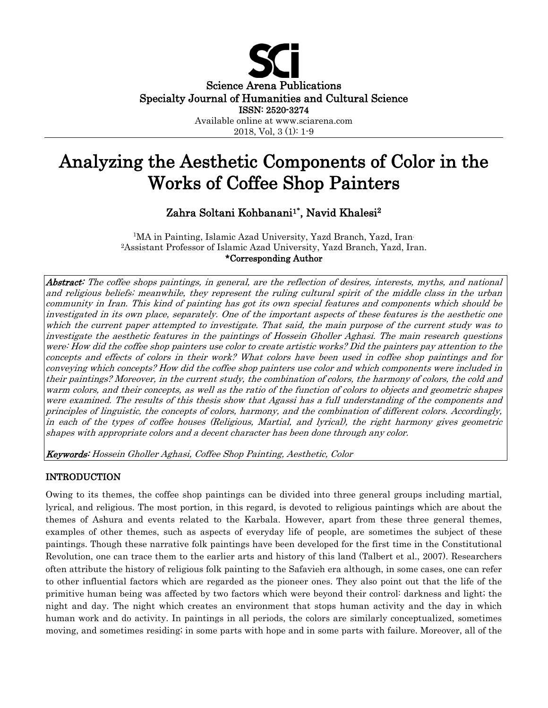

# Analyzing the Aesthetic Components of Color in the Works of Coffee Shop Painters

# Zahra Soltani Kohbanani1**\*** , Navid Khalesi2

<sup>1</sup>MA in Painting, Islamic Azad University, Yazd Branch, Yazd, Iran. 2Assistant Professor of Islamic Azad University, Yazd Branch, Yazd, Iran. \*Corresponding Author

Abstract: The coffee shops paintings, in general, are the reflection of desires, interests, myths, and national and religious beliefs; meanwhile, they represent the ruling cultural spirit of the middle class in the urban community in Iran. This kind of painting has got its own special features and components which should be investigated in its own place, separately. One of the important aspects of these features is the aesthetic one which the current paper attempted to investigate. That said, the main purpose of the current study was to investigate the aesthetic features in the paintings of Hossein Gholler Aghasi. The main research questions were: How did the coffee shop painters use color to create artistic works? Did the painters pay attention to the concepts and effects of colors in their work? What colors have been used in coffee shop paintings and for conveying which concepts? How did the coffee shop painters use color and which components were included in their paintings? Moreover, in the current study, the combination of colors, the harmony of colors, the cold and warm colors, and their concepts, as well as the ratio of the function of colors to objects and geometric shapes were examined. The results of this thesis show that Agassi has a full understanding of the components and principles of linguistic, the concepts of colors, harmony, and the combination of different colors. Accordingly, in each of the types of coffee houses (Religious, Martial, and lyrical), the right harmony gives geometric shapes with appropriate colors and a decent character has been done through any color.

Keywords: Hossein Gholler Aghasi, Coffee Shop Painting, Aesthetic, Color

# INTRODUCTION

Owing to its themes, the coffee shop paintings can be divided into three general groups including martial, lyrical, and religious. The most portion, in this regard, is devoted to religious paintings which are about the themes of Ashura and events related to the Karbala. However, apart from these three general themes, examples of other themes, such as aspects of everyday life of people, are sometimes the subject of these paintings. Though these narrative folk paintings have been developed for the first time in the Constitutional Revolution, one can trace them to the earlier arts and history of this land (Talbert et al., 2007). Researchers often attribute the history of religious folk painting to the Safavieh era although, in some cases, one can refer to other influential factors which are regarded as the pioneer ones. They also point out that the life of the primitive human being was affected by two factors which were beyond their control: darkness and light; the night and day. The night which creates an environment that stops human activity and the day in which human work and do activity. In paintings in all periods, the colors are similarly conceptualized, sometimes moving, and sometimes residing; in some parts with hope and in some parts with failure. Moreover, all of the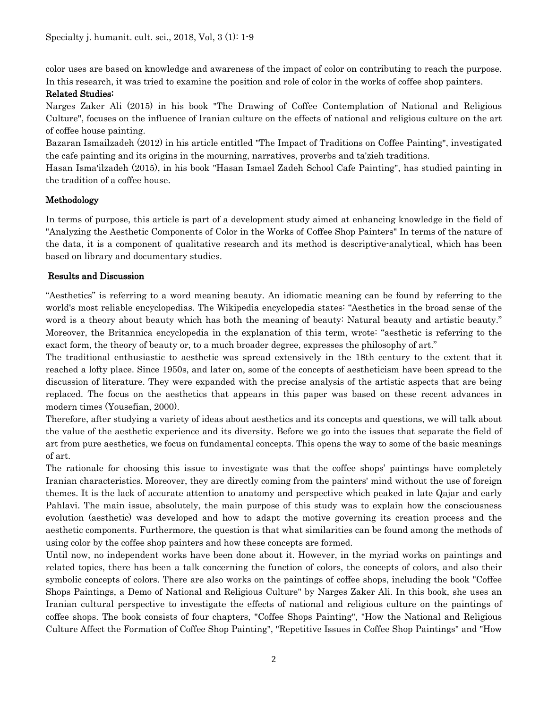color uses are based on knowledge and awareness of the impact of color on contributing to reach the purpose. In this research, it was tried to examine the position and role of color in the works of coffee shop painters.

### Related Studies:

Narges Zaker Ali (2015) in his book "The Drawing of Coffee Contemplation of National and Religious Culture", focuses on the influence of Iranian culture on the effects of national and religious culture on the art of coffee house painting.

Bazaran Ismailzadeh (2012) in his article entitled "The Impact of Traditions on Coffee Painting", investigated the cafe painting and its origins in the mourning, narratives, proverbs and ta'zieh traditions.

Hasan Isma'ilzadeh (2015), in his book "Hasan Ismael Zadeh School Cafe Painting", has studied painting in the tradition of a coffee house.

# Methodology

In terms of purpose, this article is part of a development study aimed at enhancing knowledge in the field of "Analyzing the Aesthetic Components of Color in the Works of Coffee Shop Painters" In terms of the nature of the data, it is a component of qualitative research and its method is descriptive-analytical, which has been based on library and documentary studies.

#### Results and Discussion

"Aesthetics" is referring to a word meaning beauty. An idiomatic meaning can be found by referring to the world's most reliable encyclopedias. The Wikipedia encyclopedia states: "Aesthetics in the broad sense of the word is a theory about beauty which has both the meaning of beauty: Natural beauty and artistic beauty." Moreover, the Britannica encyclopedia in the explanation of this term, wrote: "aesthetic is referring to the exact form, the theory of beauty or, to a much broader degree, expresses the philosophy of art."

The traditional enthusiastic to aesthetic was spread extensively in the 18th century to the extent that it reached a lofty place. Since 1950s, and later on, some of the concepts of aestheticism have been spread to the discussion of literature. They were expanded with the precise analysis of the artistic aspects that are being replaced. The focus on the aesthetics that appears in this paper was based on these recent advances in modern times (Yousefian, 2000).

Therefore, after studying a variety of ideas about aesthetics and its concepts and questions, we will talk about the value of the aesthetic experience and its diversity. Before we go into the issues that separate the field of art from pure aesthetics, we focus on fundamental concepts. This opens the way to some of the basic meanings of art.

The rationale for choosing this issue to investigate was that the coffee shops' paintings have completely Iranian characteristics. Moreover, they are directly coming from the painters' mind without the use of foreign themes. It is the lack of accurate attention to anatomy and perspective which peaked in late Qajar and early Pahlavi. The main issue, absolutely, the main purpose of this study was to explain how the consciousness evolution (aesthetic) was developed and how to adapt the motive governing its creation process and the aesthetic components. Furthermore, the question is that what similarities can be found among the methods of using color by the coffee shop painters and how these concepts are formed.

Until now, no independent works have been done about it. However, in the myriad works on paintings and related topics, there has been a talk concerning the function of colors, the concepts of colors, and also their symbolic concepts of colors. There are also works on the paintings of coffee shops, including the book "Coffee Shops Paintings, a Demo of National and Religious Culture" by Narges Zaker Ali. In this book, she uses an Iranian cultural perspective to investigate the effects of national and religious culture on the paintings of coffee shops. The book consists of four chapters, "Coffee Shops Painting", "How the National and Religious Culture Affect the Formation of Coffee Shop Painting", "Repetitive Issues in Coffee Shop Paintings" and "How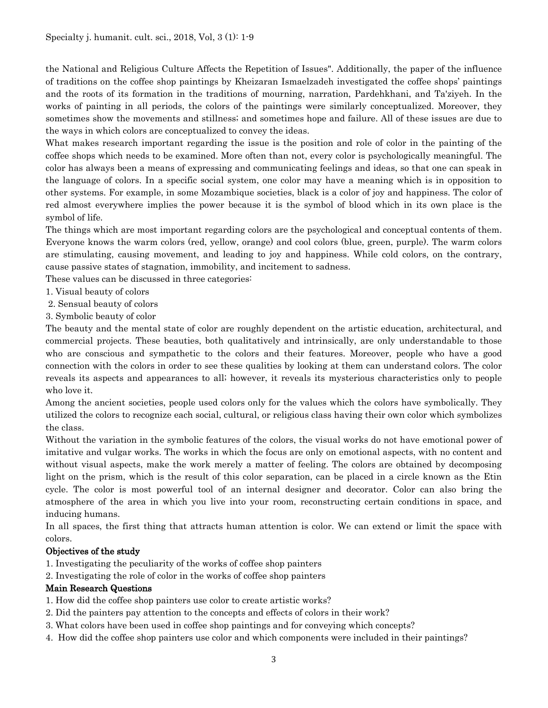the National and Religious Culture Affects the Repetition of Issues". Additionally, the paper of the influence of traditions on the coffee shop paintings by Kheizaran Ismaelzadeh investigated the coffee shops' paintings and the roots of its formation in the traditions of mourning, narration, Pardehkhani, and Ta'ziyeh. In the works of painting in all periods, the colors of the paintings were similarly conceptualized. Moreover, they sometimes show the movements and stillness; and sometimes hope and failure. All of these issues are due to the ways in which colors are conceptualized to convey the ideas.

What makes research important regarding the issue is the position and role of color in the painting of the coffee shops which needs to be examined. More often than not, every color is psychologically meaningful. The color has always been a means of expressing and communicating feelings and ideas, so that one can speak in the language of colors. In a specific social system, one color may have a meaning which is in opposition to other systems. For example, in some Mozambique societies, black is a color of joy and happiness. The color of red almost everywhere implies the power because it is the symbol of blood which in its own place is the symbol of life.

The things which are most important regarding colors are the psychological and conceptual contents of them. Everyone knows the warm colors (red, yellow, orange) and cool colors (blue, green, purple). The warm colors are stimulating, causing movement, and leading to joy and happiness. While cold colors, on the contrary, cause passive states of stagnation, immobility, and incitement to sadness.

These values can be discussed in three categories:

- 1. Visual beauty of colors
- 2. Sensual beauty of colors
- 3. Symbolic beauty of color

The beauty and the mental state of color are roughly dependent on the artistic education, architectural, and commercial projects. These beauties, both qualitatively and intrinsically, are only understandable to those who are conscious and sympathetic to the colors and their features. Moreover, people who have a good connection with the colors in order to see these qualities by looking at them can understand colors. The color reveals its aspects and appearances to all; however, it reveals its mysterious characteristics only to people who love it.

Among the ancient societies, people used colors only for the values which the colors have symbolically. They utilized the colors to recognize each social, cultural, or religious class having their own color which symbolizes the class.

Without the variation in the symbolic features of the colors, the visual works do not have emotional power of imitative and vulgar works. The works in which the focus are only on emotional aspects, with no content and without visual aspects, make the work merely a matter of feeling. The colors are obtained by decomposing light on the prism, which is the result of this color separation, can be placed in a circle known as the Etin cycle. The color is most powerful tool of an internal designer and decorator. Color can also bring the atmosphere of the area in which you live into your room, reconstructing certain conditions in space, and inducing humans.

In all spaces, the first thing that attracts human attention is color. We can extend or limit the space with colors.

#### Objectives of the study

1. Investigating the peculiarity of the works of coffee shop painters

2. Investigating the role of color in the works of coffee shop painters

#### Main Research Questions

- 1. How did the coffee shop painters use color to create artistic works?
- 2. Did the painters pay attention to the concepts and effects of colors in their work?
- 3. What colors have been used in coffee shop paintings and for conveying which concepts?
- 4. How did the coffee shop painters use color and which components were included in their paintings?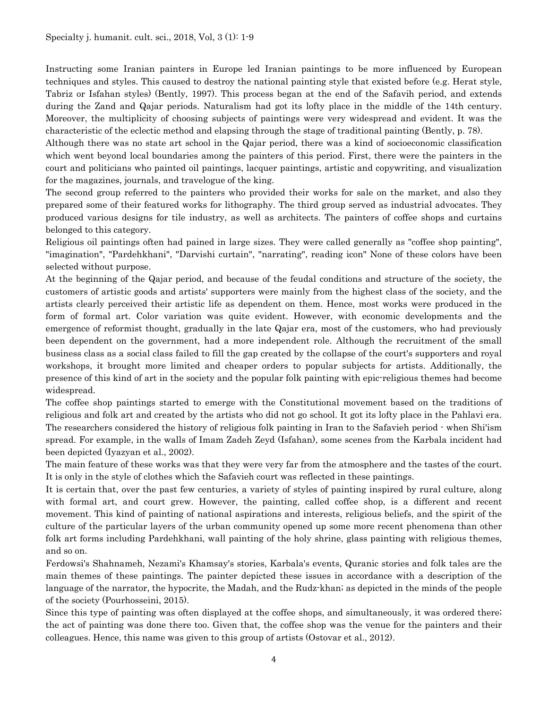Instructing some Iranian painters in Europe led Iranian paintings to be more influenced by European techniques and styles. This caused to destroy the national painting style that existed before (e.g. Herat style, Tabriz or Isfahan styles) (Bently, 1997). This process began at the end of the Safavih period, and extends during the Zand and Qajar periods. Naturalism had got its lofty place in the middle of the 14th century. Moreover, the multiplicity of choosing subjects of paintings were very widespread and evident. It was the characteristic of the eclectic method and elapsing through the stage of traditional painting (Bently, p. 78).

Although there was no state art school in the Qajar period, there was a kind of socioeconomic classification which went beyond local boundaries among the painters of this period. First, there were the painters in the court and politicians who painted oil paintings, lacquer paintings, artistic and copywriting, and visualization for the magazines, journals, and travelogue of the king.

The second group referred to the painters who provided their works for sale on the market, and also they prepared some of their featured works for lithography. The third group served as industrial advocates. They produced various designs for tile industry, as well as architects. The painters of coffee shops and curtains belonged to this category.

Religious oil paintings often had pained in large sizes. They were called generally as "coffee shop painting", "imagination", "Pardehkhani", "Darvishi curtain", "narrating", reading icon" None of these colors have been selected without purpose.

At the beginning of the Qajar period, and because of the feudal conditions and structure of the society, the customers of artistic goods and artists' supporters were mainly from the highest class of the society, and the artists clearly perceived their artistic life as dependent on them. Hence, most works were produced in the form of formal art. Color variation was quite evident. However, with economic developments and the emergence of reformist thought, gradually in the late Qajar era, most of the customers, who had previously been dependent on the government, had a more independent role. Although the recruitment of the small business class as a social class failed to fill the gap created by the collapse of the court's supporters and royal workshops, it brought more limited and cheaper orders to popular subjects for artists. Additionally, the presence of this kind of art in the society and the popular folk painting with epic-religious themes had become widespread.

The coffee shop paintings started to emerge with the Constitutional movement based on the traditions of religious and folk art and created by the artists who did not go school. It got its lofty place in the Pahlavi era. The researchers considered the history of religious folk painting in Iran to the Safavieh period - when Shi'ism spread. For example, in the walls of Imam Zadeh Zeyd (Isfahan), some scenes from the Karbala incident had been depicted (Iyazyan et al., 2002).

The main feature of these works was that they were very far from the atmosphere and the tastes of the court. It is only in the style of clothes which the Safavieh court was reflected in these paintings.

It is certain that, over the past few centuries, a variety of styles of painting inspired by rural culture, along with formal art, and court grew. However, the painting, called coffee shop, is a different and recent movement. This kind of painting of national aspirations and interests, religious beliefs, and the spirit of the culture of the particular layers of the urban community opened up some more recent phenomena than other folk art forms including Pardehkhani, wall painting of the holy shrine, glass painting with religious themes, and so on.

Ferdowsi's Shahnameh, Nezami's Khamsay's stories, Karbala's events, Quranic stories and folk tales are the main themes of these paintings. The painter depicted these issues in accordance with a description of the language of the narrator, the hypocrite, the Madah, and the Rudz-khan; as depicted in the minds of the people of the society (Pourhosseini, 2015).

Since this type of painting was often displayed at the coffee shops, and simultaneously, it was ordered there; the act of painting was done there too. Given that, the coffee shop was the venue for the painters and their colleagues. Hence, this name was given to this group of artists (Ostovar et al., 2012).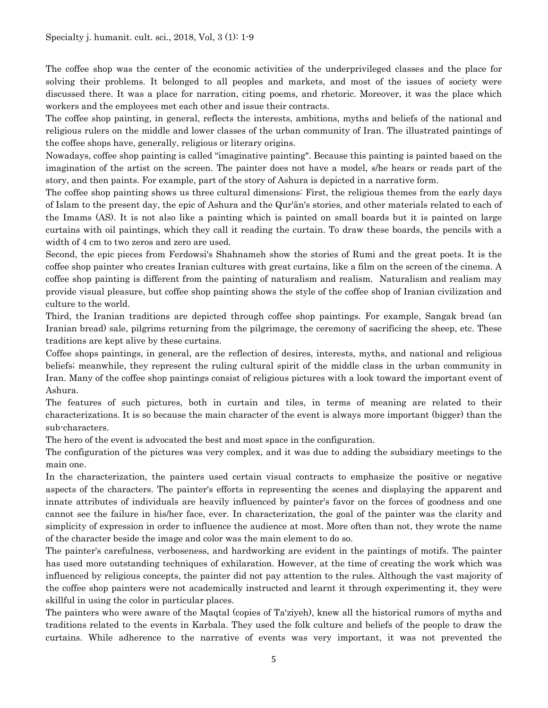The coffee shop was the center of the economic activities of the underprivileged classes and the place for solving their problems. It belonged to all peoples and markets, and most of the issues of society were discussed there. It was a place for narration, citing poems, and rhetoric. Moreover, it was the place which workers and the employees met each other and issue their contracts.

The coffee shop painting, in general, reflects the interests, ambitions, myths and beliefs of the national and religious rulers on the middle and lower classes of the urban community of Iran. The illustrated paintings of the coffee shops have, generally, religious or literary origins.

Nowadays, coffee shop painting is called "imaginative painting". Because this painting is painted based on the imagination of the artist on the screen. The painter does not have a model, s/he hears or reads part of the story, and then paints. For example, part of the story of Ashura is depicted in a narrative form.

The coffee shop painting shows us three cultural dimensions: First, the religious themes from the early days of Islam to the present day, the epic of Ashura and the Qur'ān's stories, and other materials related to each of the Imams (AS). It is not also like a painting which is painted on small boards but it is painted on large curtains with oil paintings, which they call it reading the curtain. To draw these boards, the pencils with a width of 4 cm to two zeros and zero are used.

Second, the epic pieces from Ferdowsi's Shahnameh show the stories of Rumi and the great poets. It is the coffee shop painter who creates Iranian cultures with great curtains, like a film on the screen of the cinema. A coffee shop painting is different from the painting of naturalism and realism. Naturalism and realism may provide visual pleasure, but coffee shop painting shows the style of the coffee shop of Iranian civilization and culture to the world.

Third, the Iranian traditions are depicted through coffee shop paintings. For example, Sangak bread (an Iranian bread) sale, pilgrims returning from the pilgrimage, the ceremony of sacrificing the sheep, etc. These traditions are kept alive by these curtains.

Coffee shops paintings, in general, are the reflection of desires, interests, myths, and national and religious beliefs; meanwhile, they represent the ruling cultural spirit of the middle class in the urban community in Iran. Many of the coffee shop paintings consist of religious pictures with a look toward the important event of Ashura.

The features of such pictures, both in curtain and tiles, in terms of meaning are related to their characterizations. It is so because the main character of the event is always more important (bigger) than the sub-characters.

The hero of the event is advocated the best and most space in the configuration.

The configuration of the pictures was very complex, and it was due to adding the subsidiary meetings to the main one.

In the characterization, the painters used certain visual contracts to emphasize the positive or negative aspects of the characters. The painter's efforts in representing the scenes and displaying the apparent and innate attributes of individuals are heavily influenced by painter's favor on the forces of goodness and one cannot see the failure in his/her face, ever. In characterization, the goal of the painter was the clarity and simplicity of expression in order to influence the audience at most. More often than not, they wrote the name of the character beside the image and color was the main element to do so.

The painter's carefulness, verboseness, and hardworking are evident in the paintings of motifs. The painter has used more outstanding techniques of exhilaration. However, at the time of creating the work which was influenced by religious concepts, the painter did not pay attention to the rules. Although the vast majority of the coffee shop painters were not academically instructed and learnt it through experimenting it, they were skillful in using the color in particular places.

The painters who were aware of the Maqtal (copies of Ta'ziyeh), knew all the historical rumors of myths and traditions related to the events in Karbala. They used the folk culture and beliefs of the people to draw the curtains. While adherence to the narrative of events was very important, it was not prevented the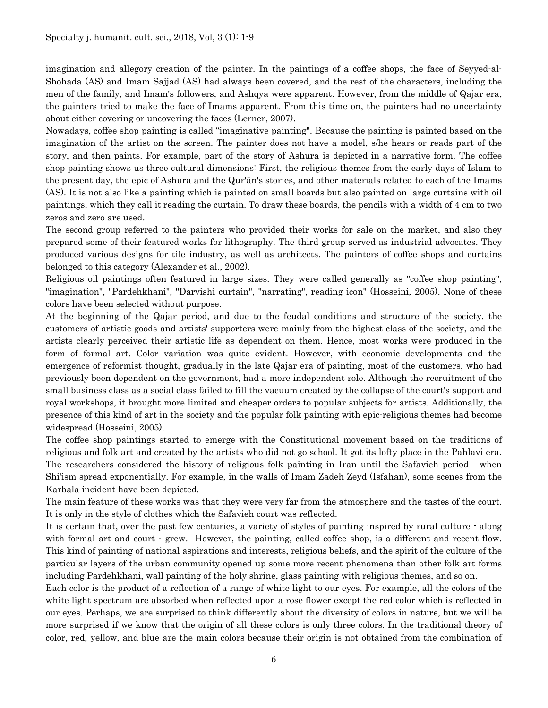imagination and allegory creation of the painter. In the paintings of a coffee shops, the face of Seyyed-al-Shohada (AS) and Imam Sajjad (AS) had always been covered, and the rest of the characters, including the men of the family, and Imam's followers, and Ashqya were apparent. However, from the middle of Qajar era, the painters tried to make the face of Imams apparent. From this time on, the painters had no uncertainty about either covering or uncovering the faces (Lerner, 2007).

Nowadays, coffee shop painting is called "imaginative painting". Because the painting is painted based on the imagination of the artist on the screen. The painter does not have a model, s/he hears or reads part of the story, and then paints. For example, part of the story of Ashura is depicted in a narrative form. The coffee shop painting shows us three cultural dimensions: First, the religious themes from the early days of Islam to the present day, the epic of Ashura and the Qur'ān's stories, and other materials related to each of the Imams (AS). It is not also like a painting which is painted on small boards but also painted on large curtains with oil paintings, which they call it reading the curtain. To draw these boards, the pencils with a width of 4 cm to two zeros and zero are used.

The second group referred to the painters who provided their works for sale on the market, and also they prepared some of their featured works for lithography. The third group served as industrial advocates. They produced various designs for tile industry, as well as architects. The painters of coffee shops and curtains belonged to this category (Alexander et al., 2002).

Religious oil paintings often featured in large sizes. They were called generally as "coffee shop painting", "imagination", "Pardehkhani", "Darvishi curtain", "narrating", reading icon" (Hosseini, 2005). None of these colors have been selected without purpose.

At the beginning of the Qajar period, and due to the feudal conditions and structure of the society, the customers of artistic goods and artists' supporters were mainly from the highest class of the society, and the artists clearly perceived their artistic life as dependent on them. Hence, most works were produced in the form of formal art. Color variation was quite evident. However, with economic developments and the emergence of reformist thought, gradually in the late Qajar era of painting, most of the customers, who had previously been dependent on the government, had a more independent role. Although the recruitment of the small business class as a social class failed to fill the vacuum created by the collapse of the court's support and royal workshops, it brought more limited and cheaper orders to popular subjects for artists. Additionally, the presence of this kind of art in the society and the popular folk painting with epic-religious themes had become widespread (Hosseini, 2005).

The coffee shop paintings started to emerge with the Constitutional movement based on the traditions of religious and folk art and created by the artists who did not go school. It got its lofty place in the Pahlavi era. The researchers considered the history of religious folk painting in Iran until the Safavieh period - when Shi'ism spread exponentially. For example, in the walls of Imam Zadeh Zeyd (Isfahan), some scenes from the Karbala incident have been depicted.

The main feature of these works was that they were very far from the atmosphere and the tastes of the court. It is only in the style of clothes which the Safavieh court was reflected.

It is certain that, over the past few centuries, a variety of styles of painting inspired by rural culture - along with formal art and court  $\cdot$  grew. However, the painting, called coffee shop, is a different and recent flow. This kind of painting of national aspirations and interests, religious beliefs, and the spirit of the culture of the particular layers of the urban community opened up some more recent phenomena than other folk art forms including Pardehkhani, wall painting of the holy shrine, glass painting with religious themes, and so on.

Each color is the product of a reflection of a range of white light to our eyes. For example, all the colors of the white light spectrum are absorbed when reflected upon a rose flower except the red color which is reflected in our eyes. Perhaps, we are surprised to think differently about the diversity of colors in nature, but we will be more surprised if we know that the origin of all these colors is only three colors. In the traditional theory of color, red, yellow, and blue are the main colors because their origin is not obtained from the combination of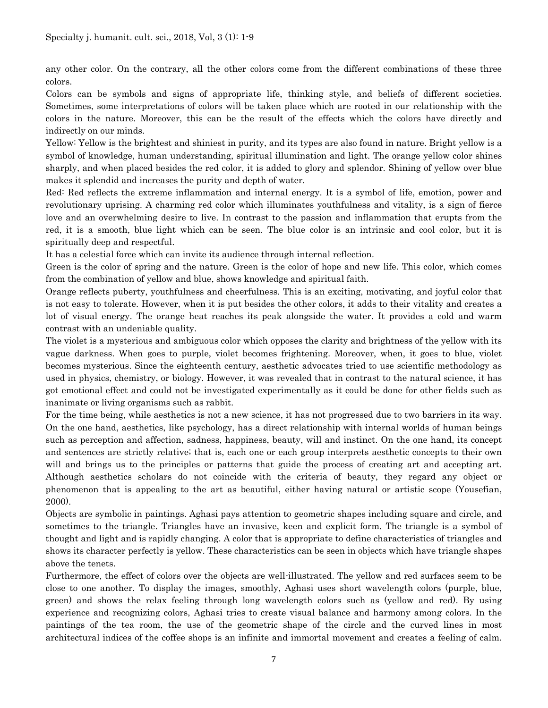any other color. On the contrary, all the other colors come from the different combinations of these three colors.

Colors can be symbols and signs of appropriate life, thinking style, and beliefs of different societies. Sometimes, some interpretations of colors will be taken place which are rooted in our relationship with the colors in the nature. Moreover, this can be the result of the effects which the colors have directly and indirectly on our minds.

Yellow: Yellow is the brightest and shiniest in purity, and its types are also found in nature. Bright yellow is a symbol of knowledge, human understanding, spiritual illumination and light. The orange yellow color shines sharply, and when placed besides the red color, it is added to glory and splendor. Shining of yellow over blue makes it splendid and increases the purity and depth of water.

Red: Red reflects the extreme inflammation and internal energy. It is a symbol of life, emotion, power and revolutionary uprising. A charming red color which illuminates youthfulness and vitality, is a sign of fierce love and an overwhelming desire to live. In contrast to the passion and inflammation that erupts from the red, it is a smooth, blue light which can be seen. The blue color is an intrinsic and cool color, but it is spiritually deep and respectful.

It has a celestial force which can invite its audience through internal reflection.

Green is the color of spring and the nature. Green is the color of hope and new life. This color, which comes from the combination of yellow and blue, shows knowledge and spiritual faith.

Orange reflects puberty, youthfulness and cheerfulness. This is an exciting, motivating, and joyful color that is not easy to tolerate. However, when it is put besides the other colors, it adds to their vitality and creates a lot of visual energy. The orange heat reaches its peak alongside the water. It provides a cold and warm contrast with an undeniable quality.

The violet is a mysterious and ambiguous color which opposes the clarity and brightness of the yellow with its vague darkness. When goes to purple, violet becomes frightening. Moreover, when, it goes to blue, violet becomes mysterious. Since the eighteenth century, aesthetic advocates tried to use scientific methodology as used in physics, chemistry, or biology. However, it was revealed that in contrast to the natural science, it has got emotional effect and could not be investigated experimentally as it could be done for other fields such as inanimate or living organisms such as rabbit.

For the time being, while aesthetics is not a new science, it has not progressed due to two barriers in its way. On the one hand, aesthetics, like psychology, has a direct relationship with internal worlds of human beings such as perception and affection, sadness, happiness, beauty, will and instinct. On the one hand, its concept and sentences are strictly relative; that is, each one or each group interprets aesthetic concepts to their own will and brings us to the principles or patterns that guide the process of creating art and accepting art. Although aesthetics scholars do not coincide with the criteria of beauty, they regard any object or phenomenon that is appealing to the art as beautiful, either having natural or artistic scope (Yousefian, 2000).

Objects are symbolic in paintings. Aghasi pays attention to geometric shapes including square and circle, and sometimes to the triangle. Triangles have an invasive, keen and explicit form. The triangle is a symbol of thought and light and is rapidly changing. A color that is appropriate to define characteristics of triangles and shows its character perfectly is yellow. These characteristics can be seen in objects which have triangle shapes above the tenets.

Furthermore, the effect of colors over the objects are well-illustrated. The yellow and red surfaces seem to be close to one another. To display the images, smoothly, Aghasi uses short wavelength colors (purple, blue, green) and shows the relax feeling through long wavelength colors such as (yellow and red). By using experience and recognizing colors, Aghasi tries to create visual balance and harmony among colors. In the paintings of the tea room, the use of the geometric shape of the circle and the curved lines in most architectural indices of the coffee shops is an infinite and immortal movement and creates a feeling of calm.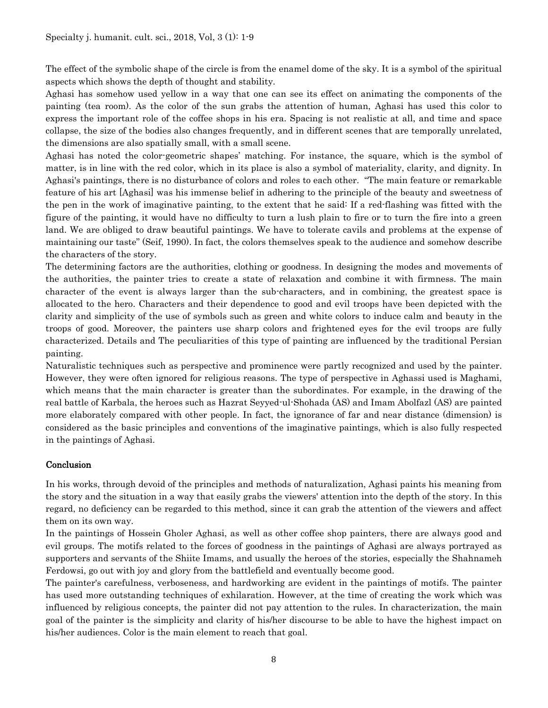The effect of the symbolic shape of the circle is from the enamel dome of the sky. It is a symbol of the spiritual aspects which shows the depth of thought and stability.

Aghasi has somehow used yellow in a way that one can see its effect on animating the components of the painting (tea room). As the color of the sun grabs the attention of human, Aghasi has used this color to express the important role of the coffee shops in his era. Spacing is not realistic at all, and time and space collapse, the size of the bodies also changes frequently, and in different scenes that are temporally unrelated, the dimensions are also spatially small, with a small scene.

Aghasi has noted the color-geometric shapes' matching. For instance, the square, which is the symbol of matter, is in line with the red color, which in its place is also a symbol of materiality, clarity, and dignity. In Aghasi's paintings, there is no disturbance of colors and roles to each other. "The main feature or remarkable feature of his art [Aghasi] was his immense belief in adhering to the principle of the beauty and sweetness of the pen in the work of imaginative painting, to the extent that he said: If a red-flashing was fitted with the figure of the painting, it would have no difficulty to turn a lush plain to fire or to turn the fire into a green land. We are obliged to draw beautiful paintings. We have to tolerate cavils and problems at the expense of maintaining our taste" (Seif, 1990). In fact, the colors themselves speak to the audience and somehow describe the characters of the story.

The determining factors are the authorities, clothing or goodness. In designing the modes and movements of the authorities, the painter tries to create a state of relaxation and combine it with firmness. The main character of the event is always larger than the sub-characters, and in combining, the greatest space is allocated to the hero. Characters and their dependence to good and evil troops have been depicted with the clarity and simplicity of the use of symbols such as green and white colors to induce calm and beauty in the troops of good. Moreover, the painters use sharp colors and frightened eyes for the evil troops are fully characterized. Details and The peculiarities of this type of painting are influenced by the traditional Persian painting.

Naturalistic techniques such as perspective and prominence were partly recognized and used by the painter. However, they were often ignored for religious reasons. The type of perspective in Aghassi used is Maghami, which means that the main character is greater than the subordinates. For example, in the drawing of the real battle of Karbala, the heroes such as Hazrat Seyyed-ul-Shohada (AS) and Imam Abolfazl (AS) are painted more elaborately compared with other people. In fact, the ignorance of far and near distance (dimension) is considered as the basic principles and conventions of the imaginative paintings, which is also fully respected in the paintings of Aghasi.

# **Conclusion**

In his works, through devoid of the principles and methods of naturalization, Aghasi paints his meaning from the story and the situation in a way that easily grabs the viewers' attention into the depth of the story. In this regard, no deficiency can be regarded to this method, since it can grab the attention of the viewers and affect them on its own way.

In the paintings of Hossein Gholer Aghasi, as well as other coffee shop painters, there are always good and evil groups. The motifs related to the forces of goodness in the paintings of Aghasi are always portrayed as supporters and servants of the Shiite Imams, and usually the heroes of the stories, especially the Shahnameh Ferdowsi, go out with joy and glory from the battlefield and eventually become good.

The painter's carefulness, verboseness, and hardworking are evident in the paintings of motifs. The painter has used more outstanding techniques of exhilaration. However, at the time of creating the work which was influenced by religious concepts, the painter did not pay attention to the rules. In characterization, the main goal of the painter is the simplicity and clarity of his/her discourse to be able to have the highest impact on his/her audiences. Color is the main element to reach that goal.